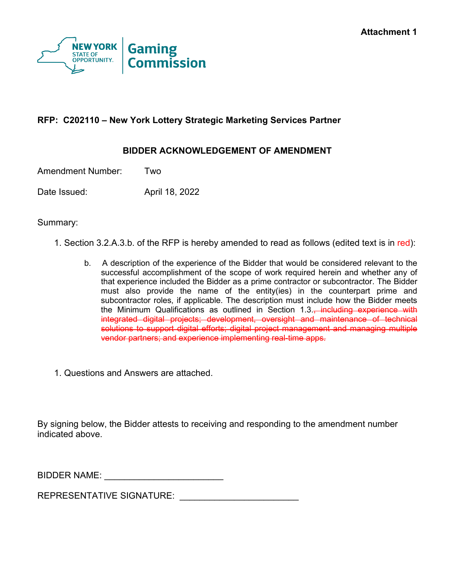

# **RFP: C202110 – New York Lottery Strategic Marketing Services Partner**

## **BIDDER ACKNOWLEDGEMENT OF AMENDMENT**

Amendment Number: Two

Date Issued: April 18, 2022

Summary:

- 1. Section 3.2.A.3.b. of the RFP is hereby amended to read as follows (edited text is in red):
	- b. A description of the experience of the Bidder that would be considered relevant to the successful accomplishment of the scope of work required herein and whether any of that experience included the Bidder as a prime contractor or subcontractor. The Bidder must also provide the name of the entity(ies) in the counterpart prime and subcontractor roles, if applicable. The description must include how the Bidder meets the Minimum Qualifications as outlined in Section 1.3., including experience with integrated digital projects; development, oversight and maintenance of technical solutions to support digital efforts; digital project management and managing multiple vendor partners; and experience implementing real-time apps.
- 1. Questions and Answers are attached.

By signing below, the Bidder attests to receiving and responding to the amendment number indicated above.

BIDDER NAME:

REPRESENTATIVE SIGNATURE: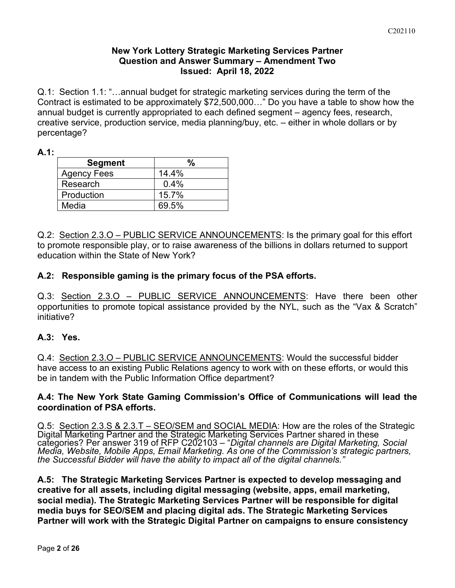## **New York Lottery Strategic Marketing Services Partner Question and Answer Summary – Amendment Two Issued: April 18, 2022**

Q.1: Section 1.1: "…annual budget for strategic marketing services during the term of the Contract is estimated to be approximately \$72,500,000…" Do you have a table to show how the annual budget is currently appropriated to each defined segment – agency fees, research, creative service, production service, media planning/buy, etc. – either in whole dollars or by percentage?

**A.1:** 

| <b>Segment</b>     |       |
|--------------------|-------|
| <b>Agency Fees</b> | 14.4% |
| Research           | 0.4%  |
| Production         | 15.7% |
| Media              | 69.5% |

Q.2: Section 2.3.O – PUBLIC SERVICE ANNOUNCEMENTS: Is the primary goal for this effort to promote responsible play, or to raise awareness of the billions in dollars returned to support education within the State of New York?

## **A.2: Responsible gaming is the primary focus of the PSA efforts.**

Q.3: Section 2.3.0 - PUBLIC SERVICE ANNOUNCEMENTS: Have there been other opportunities to promote topical assistance provided by the NYL, such as the "Vax & Scratch" initiative?

### **A.3: Yes.**

Q.4: Section 2.3.O – PUBLIC SERVICE ANNOUNCEMENTS: Would the successful bidder have access to an existing Public Relations agency to work with on these efforts, or would this be in tandem with the Public Information Office department?

#### **A.4: The New York State Gaming Commission's Office of Communications will lead the coordination of PSA efforts.**

Q.5: Section 2.3.S & 2.3.T – SEO/SEM and SOCIAL MEDIA: How are the roles of the Strategic Digital Marketing Partner and the Strategic Marketing Services Partner shared in these categories? Per answer 319 of RFP C202103 – "*Digital channels are Digital Marketing, Social Media, Website, Mobile Apps, Email Marketing. As one of the Commission's strategic partners, the Successful Bidder will have the ability to impact all of the digital channels."*

**A.5: The Strategic Marketing Services Partner is expected to develop messaging and creative for all assets, including digital messaging (website, apps, email marketing, social media). The Strategic Marketing Services Partner will be responsible for digital media buys for SEO/SEM and placing digital ads. The Strategic Marketing Services Partner will work with the Strategic Digital Partner on campaigns to ensure consistency**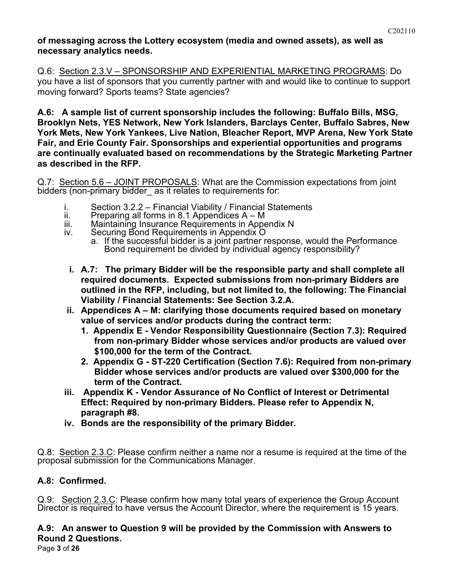#### **of messaging across the Lottery ecosystem (media and owned assets), as well as necessary analytics needs.**

Q.6: Section 2.3.V – SPONSORSHIP AND EXPERIENTIAL MARKETING PROGRAMS: Do you have a list of sponsors that you currently partner with and would like to continue to support moving forward? Sports teams? State agencies?

**A.6: A sample list of current sponsorship includes the following: Buffalo Bills, MSG, Brooklyn Nets, YES Network, New York Islanders, Barclays Center, Buffalo Sabres, New York Mets, New York Yankees, Live Nation, Bleacher Report, MVP Arena, New York State Fair, and Erie County Fair. Sponsorships and experiential opportunities and programs are continually evaluated based on recommendations by the Strategic Marketing Partner as described in the RFP.**

Q.7: Section 5.6 – JOINT PROPOSALS: What are the Commission expectations from joint bidders (non-primary bidder as it relates to requirements for:

- i. Section 3.2.2 Financial Viability / Financial Statements
- ii. Preparing all forms in 8.1 Appendices A M
- iii. Maintaining Insurance Requirements in Appendix N<br>iv. Securing Bond Requirements in Appendix O
- Securing Bond Requirements in Appendix O
	- a. If the successful bidder is a joint partner response, would the Performance Bond requirement be divided by individual agency responsibility?
- **i. A.7: The primary Bidder will be the responsible party and shall complete all required documents. Expected submissions from non-primary Bidders are outlined in the RFP, including, but not limited to, the following: The Financial Viability / Financial Statements: See Section 3.2.A.**
- **ii. Appendices A – M: clarifying those documents required based on monetary value of services and/or products during the contract term:** 
	- **1. Appendix E - Vendor Responsibility Questionnaire (Section 7.3): Required from non-primary Bidder whose services and/or products are valued over \$100,000 for the term of the Contract.**
	- **2. Appendix G - ST-220 Certification (Section 7.6): Required from non-primary Bidder whose services and/or products are valued over \$300,000 for the term of the Contract.**
- **iii. Appendix K - Vendor Assurance of No Conflict of Interest or Detrimental Effect: Required by non-primary Bidders. Please refer to Appendix N, paragraph #8.**
- **iv. Bonds are the responsibility of the primary Bidder.**

Q.8: Section 2.3.C: Please confirm neither a name nor a resume is required at the time of the proposal submission for the Communications Manager.

# **A.8: Confirmed.**

Q.9: Section 2.3.C: Please confirm how many total years of experience the Group Account Director is required to have versus the Account Director, where the requirement is 15 years.

# **A.9: An answer to Question 9 will be provided by the Commission with Answers to Round 2 Questions.**

Page **3** of **26**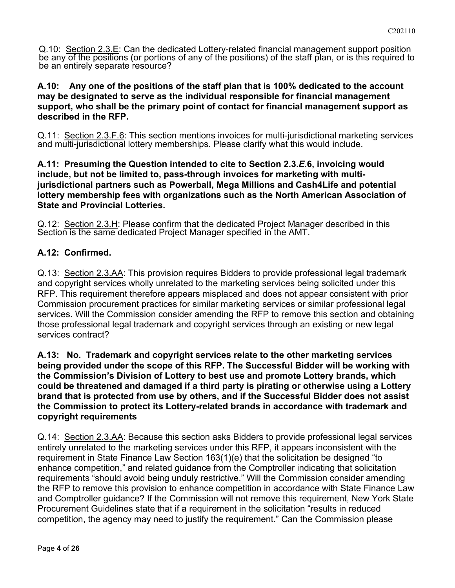Q.10: Section 2.3.E: Can the dedicated Lottery-related financial management support position be any of the positions (or portions of any of the positions) of the staff plan, or is this required to be an entirely separate resource?

### **A.10: Any one of the positions of the staff plan that is 100% dedicated to the account may be designated to serve as the individual responsible for financial management support, who shall be the primary point of contact for financial management support as described in the RFP.**

Q.11: Section 2.3.F.6: This section mentions invoices for multi-jurisdictional marketing services and multi-jurisdictional lottery memberships. Please clarify what this would include.

### **A.11: Presuming the Question intended to cite to Section 2.3.***E.***6, invoicing would include, but not be limited to, pass-through invoices for marketing with multijurisdictional partners such as Powerball, Mega Millions and Cash4Life and potential lottery membership fees with organizations such as the North American Association of State and Provincial Lotteries.**

Q.12: Section 2.3.H: Please confirm that the dedicated Project Manager described in this Section is the same dedicated Project Manager specified in the AMT.

# **A.12: Confirmed.**

Q.13: Section 2.3.AA: This provision requires Bidders to provide professional legal trademark and copyright services wholly unrelated to the marketing services being solicited under this RFP. This requirement therefore appears misplaced and does not appear consistent with prior Commission procurement practices for similar marketing services or similar professional legal services. Will the Commission consider amending the RFP to remove this section and obtaining those professional legal trademark and copyright services through an existing or new legal services contract?

**A.13: No. Trademark and copyright services relate to the other marketing services being provided under the scope of this RFP. The Successful Bidder will be working with the Commission's Division of Lottery to best use and promote Lottery brands, which could be threatened and damaged if a third party is pirating or otherwise using a Lottery brand that is protected from use by others, and if the Successful Bidder does not assist the Commission to protect its Lottery-related brands in accordance with trademark and copyright requirements**

Q.14: Section 2.3.AA: Because this section asks Bidders to provide professional legal services entirely unrelated to the marketing services under this RFP, it appears inconsistent with the requirement in State Finance Law Section 163(1)(e) that the solicitation be designed "to enhance competition," and related guidance from the Comptroller indicating that solicitation requirements "should avoid being unduly restrictive." Will the Commission consider amending the RFP to remove this provision to enhance competition in accordance with State Finance Law and Comptroller guidance? If the Commission will not remove this requirement, New York State Procurement Guidelines state that if a requirement in the solicitation "results in reduced competition, the agency may need to justify the requirement." Can the Commission please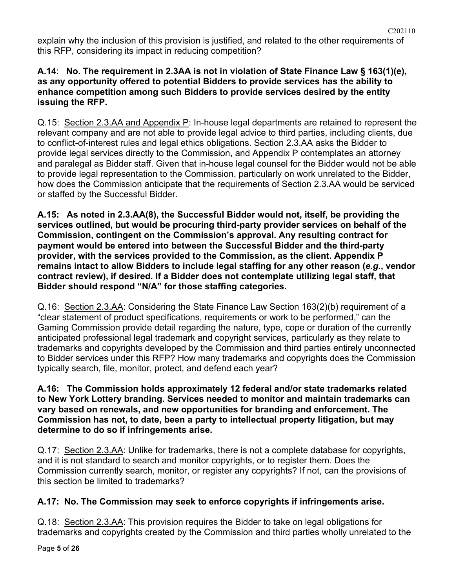explain why the inclusion of this provision is justified, and related to the other requirements of this RFP, considering its impact in reducing competition?

C202110

### **A.14**: **No. The requirement in 2.3AA is not in violation of State Finance Law § 163(1)(e), as any opportunity offered to potential Bidders to provide services has the ability to enhance competition among such Bidders to provide services desired by the entity issuing the RFP.**

Q.15: Section 2.3.AA and Appendix P: In-house legal departments are retained to represent the relevant company and are not able to provide legal advice to third parties, including clients, due to conflict-of-interest rules and legal ethics obligations. Section 2.3.AA asks the Bidder to provide legal services directly to the Commission, and Appendix P contemplates an attorney and paralegal as Bidder staff. Given that in-house legal counsel for the Bidder would not be able to provide legal representation to the Commission, particularly on work unrelated to the Bidder, how does the Commission anticipate that the requirements of Section 2.3.AA would be serviced or staffed by the Successful Bidder.

**A.15: As noted in 2.3.AA(8), the Successful Bidder would not, itself, be providing the services outlined, but would be procuring third-party provider services on behalf of the Commission, contingent on the Commission's approval. Any resulting contract for payment would be entered into between the Successful Bidder and the third-party provider, with the services provided to the Commission, as the client. Appendix P remains intact to allow Bidders to include legal staffing for any other reason (***e.g.***, vendor contract review), if desired. If a Bidder does not contemplate utilizing legal staff, that Bidder should respond "N/A" for those staffing categories.** 

Q.16: Section 2.3.AA: Considering the State Finance Law Section 163(2)(b) requirement of a "clear statement of product specifications, requirements or work to be performed," can the Gaming Commission provide detail regarding the nature, type, cope or duration of the currently anticipated professional legal trademark and copyright services, particularly as they relate to trademarks and copyrights developed by the Commission and third parties entirely unconnected to Bidder services under this RFP? How many trademarks and copyrights does the Commission typically search, file, monitor, protect, and defend each year?

## **A.16: The Commission holds approximately 12 federal and/or state trademarks related to New York Lottery branding. Services needed to monitor and maintain trademarks can vary based on renewals, and new opportunities for branding and enforcement. The Commission has not, to date, been a party to intellectual property litigation, but may determine to do so if infringements arise.**

Q.17: Section 2.3.AA: Unlike for trademarks, there is not a complete database for copyrights, and it is not standard to search and monitor copyrights, or to register them. Does the Commission currently search, monitor, or register any copyrights? If not, can the provisions of this section be limited to trademarks?

# **A.17: No. The Commission may seek to enforce copyrights if infringements arise.**

Q.18: Section 2.3.AA: This provision requires the Bidder to take on legal obligations for trademarks and copyrights created by the Commission and third parties wholly unrelated to the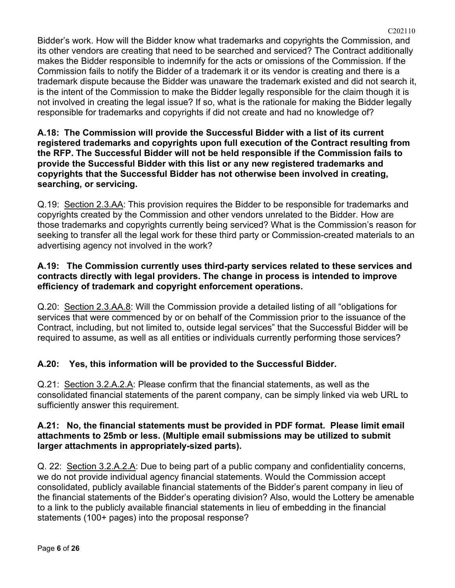Bidder's work. How will the Bidder know what trademarks and copyrights the Commission, and its other vendors are creating that need to be searched and serviced? The Contract additionally makes the Bidder responsible to indemnify for the acts or omissions of the Commission. If the Commission fails to notify the Bidder of a trademark it or its vendor is creating and there is a trademark dispute because the Bidder was unaware the trademark existed and did not search it, is the intent of the Commission to make the Bidder legally responsible for the claim though it is not involved in creating the legal issue? If so, what is the rationale for making the Bidder legally responsible for trademarks and copyrights if did not create and had no knowledge of?

C202110

**A.18: The Commission will provide the Successful Bidder with a list of its current registered trademarks and copyrights upon full execution of the Contract resulting from the RFP. The Successful Bidder will not be held responsible if the Commission fails to provide the Successful Bidder with this list or any new registered trademarks and copyrights that the Successful Bidder has not otherwise been involved in creating, searching, or servicing.**

Q.19: Section 2.3.AA: This provision requires the Bidder to be responsible for trademarks and copyrights created by the Commission and other vendors unrelated to the Bidder. How are those trademarks and copyrights currently being serviced? What is the Commission's reason for seeking to transfer all the legal work for these third party or Commission-created materials to an advertising agency not involved in the work?

## **A.19: The Commission currently uses third-party services related to these services and contracts directly with legal providers. The change in process is intended to improve efficiency of trademark and copyright enforcement operations.**

Q.20: Section 2.3.AA.8: Will the Commission provide a detailed listing of all "obligations for services that were commenced by or on behalf of the Commission prior to the issuance of the Contract, including, but not limited to, outside legal services" that the Successful Bidder will be required to assume, as well as all entities or individuals currently performing those services?

# **A.20: Yes, this information will be provided to the Successful Bidder.**

Q.21: Section 3.2.A.2.A: Please confirm that the financial statements, as well as the consolidated financial statements of the parent company, can be simply linked via web URL to sufficiently answer this requirement.

### **A.21: No, the financial statements must be provided in PDF format. Please limit email attachments to 25mb or less. (Multiple email submissions may be utilized to submit larger attachments in appropriately-sized parts).**

Q. 22: Section 3.2.A.2.A: Due to being part of a public company and confidentiality concerns, we do not provide individual agency financial statements. Would the Commission accept consolidated, publicly available financial statements of the Bidder's parent company in lieu of the financial statements of the Bidder's operating division? Also, would the Lottery be amenable to a link to the publicly available financial statements in lieu of embedding in the financial statements (100+ pages) into the proposal response?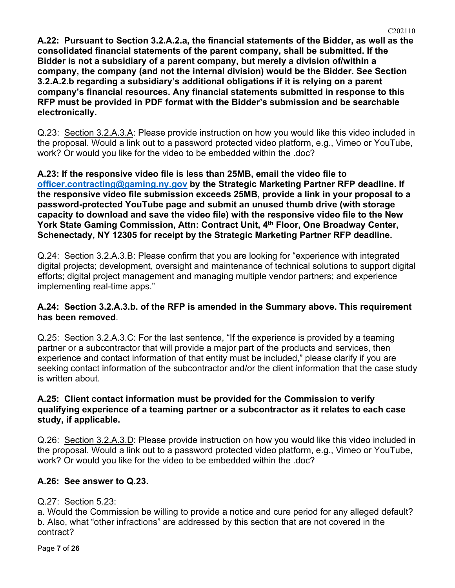**A.22: Pursuant to Section 3.2.A.2.a, the financial statements of the Bidder, as well as the consolidated financial statements of the parent company, shall be submitted. If the Bidder is not a subsidiary of a parent company, but merely a division of/within a company, the company (and not the internal division) would be the Bidder. See Section 3.2.A.2.b regarding a subsidiary's additional obligations if it is relying on a parent company's financial resources. Any financial statements submitted in response to this RFP must be provided in PDF format with the Bidder's submission and be searchable electronically.**

Q.23: Section 3.2.A.3.A: Please provide instruction on how you would like this video included in the proposal. Would a link out to a password protected video platform, e.g., Vimeo or YouTube, work? Or would you like for the video to be embedded within the .doc?

**A.23: If the responsive video file is less than 25MB, email the video file to [officer.contracting@gaming.ny.gov](mailto:officer.contracting@gaming.ny.gov) by the Strategic Marketing Partner RFP deadline. If the responsive video file submission exceeds 25MB, provide a link in your proposal to a password-protected YouTube page and submit an unused thumb drive (with storage capacity to download and save the video file) with the responsive video file to the New York State Gaming Commission, Attn: Contract Unit, 4th Floor, One Broadway Center, Schenectady, NY 12305 for receipt by the Strategic Marketing Partner RFP deadline.**

Q.24: Section 3.2.A.3.B: Please confirm that you are looking for "experience with integrated digital projects; development, oversight and maintenance of technical solutions to support digital efforts; digital project management and managing multiple vendor partners; and experience implementing real-time apps."

### **A.24: Section 3.2.A.3.b. of the RFP is amended in the Summary above. This requirement has been removed**.

Q.25: Section 3.2.A.3.C: For the last sentence, "If the experience is provided by a teaming partner or a subcontractor that will provide a major part of the products and services, then experience and contact information of that entity must be included," please clarify if you are seeking contact information of the subcontractor and/or the client information that the case study is written about.

## **A.25: Client contact information must be provided for the Commission to verify qualifying experience of a teaming partner or a subcontractor as it relates to each case study, if applicable.**

Q.26: Section 3.2.A.3.D: Please provide instruction on how you would like this video included in the proposal. Would a link out to a password protected video platform, e.g., Vimeo or YouTube, work? Or would you like for the video to be embedded within the .doc?

# **A.26: See answer to Q.23.**

# Q.27: Section 5.23:

a. Would the Commission be willing to provide a notice and cure period for any alleged default? b. Also, what "other infractions" are addressed by this section that are not covered in the contract?

Page **7** of **26**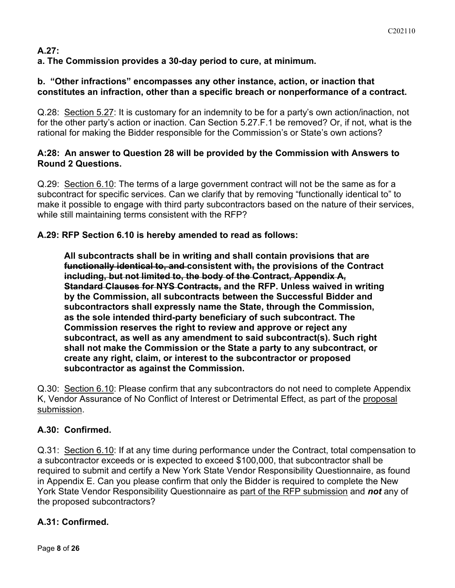# **A.27:**

**a. The Commission provides a 30-day period to cure, at minimum.**

# **b. "Other infractions" encompasses any other instance, action, or inaction that constitutes an infraction, other than a specific breach or nonperformance of a contract.**

Q.28: Section 5.27: It is customary for an indemnity to be for a party's own action/inaction, not for the other party's action or inaction. Can Section 5.27.F.1 be removed? Or, if not, what is the rational for making the Bidder responsible for the Commission's or State's own actions?

## **A:28: An answer to Question 28 will be provided by the Commission with Answers to Round 2 Questions.**

Q.29: Section 6.10: The terms of a large government contract will not be the same as for a subcontract for specific services. Can we clarify that by removing "functionally identical to" to make it possible to engage with third party subcontractors based on the nature of their services, while still maintaining terms consistent with the RFP?

# **A.29: RFP Section 6.10 is hereby amended to read as follows:**

**All subcontracts shall be in writing and shall contain provisions that are functionally identical to, and consistent with, the provisions of the Contract including, but not limited to, the body of the Contract, Appendix A, Standard Clauses for NYS Contracts, and the RFP. Unless waived in writing by the Commission, all subcontracts between the Successful Bidder and subcontractors shall expressly name the State, through the Commission, as the sole intended third-party beneficiary of such subcontract. The Commission reserves the right to review and approve or reject any subcontract, as well as any amendment to said subcontract(s). Such right shall not make the Commission or the State a party to any subcontract, or create any right, claim, or interest to the subcontractor or proposed subcontractor as against the Commission.**

Q.30: Section 6.10: Please confirm that any subcontractors do not need to complete Appendix K, Vendor Assurance of No Conflict of Interest or Detrimental Effect, as part of the proposal submission.

# **A.30: Confirmed.**

Q.31: Section 6.10: If at any time during performance under the Contract, total compensation to a subcontractor exceeds or is expected to exceed \$100,000, that subcontractor shall be required to submit and certify a New York State Vendor Responsibility Questionnaire, as found in Appendix E. Can you please confirm that only the Bidder is required to complete the New York State Vendor Responsibility Questionnaire as part of the RFP submission and *not* any of the proposed subcontractors?

# **A.31: Confirmed.**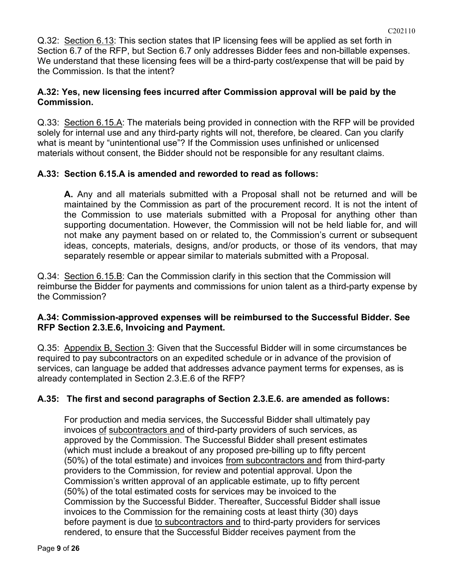Q.32: Section 6.13: This section states that IP licensing fees will be applied as set forth in Section 6.7 of the RFP, but Section 6.7 only addresses Bidder fees and non-billable expenses. We understand that these licensing fees will be a third-party cost/expense that will be paid by the Commission. Is that the intent?

## **A.32: Yes, new licensing fees incurred after Commission approval will be paid by the Commission.**

Q.33: Section 6.15.A: The materials being provided in connection with the RFP will be provided solely for internal use and any third-party rights will not, therefore, be cleared. Can you clarify what is meant by "unintentional use"? If the Commission uses unfinished or unlicensed materials without consent, the Bidder should not be responsible for any resultant claims.

## **A.33: Section 6.15.A is amended and reworded to read as follows:**

**A.** Any and all materials submitted with a Proposal shall not be returned and will be maintained by the Commission as part of the procurement record. It is not the intent of the Commission to use materials submitted with a Proposal for anything other than supporting documentation. However, the Commission will not be held liable for, and will not make any payment based on or related to, the Commission's current or subsequent ideas, concepts, materials, designs, and/or products, or those of its vendors, that may separately resemble or appear similar to materials submitted with a Proposal.

Q.34: Section 6.15.B: Can the Commission clarify in this section that the Commission will reimburse the Bidder for payments and commissions for union talent as a third-party expense by the Commission?

### **A.34: Commission-approved expenses will be reimbursed to the Successful Bidder. See RFP Section 2.3.E.6, Invoicing and Payment.**

Q.35: Appendix B, Section 3: Given that the Successful Bidder will in some circumstances be required to pay subcontractors on an expedited schedule or in advance of the provision of services, can language be added that addresses advance payment terms for expenses, as is already contemplated in Section 2.3.E.6 of the RFP?

# **A.35: The first and second paragraphs of Section 2.3.E.6. are amended as follows:**

For production and media services, the Successful Bidder shall ultimately pay invoices of subcontractors and of third-party providers of such services, as approved by the Commission. The Successful Bidder shall present estimates (which must include a breakout of any proposed pre-billing up to fifty percent (50%) of the total estimate) and invoices from subcontractors and from third-party providers to the Commission, for review and potential approval. Upon the Commission's written approval of an applicable estimate, up to fifty percent (50%) of the total estimated costs for services may be invoiced to the Commission by the Successful Bidder. Thereafter, Successful Bidder shall issue invoices to the Commission for the remaining costs at least thirty (30) days before payment is due to subcontractors and to third-party providers for services rendered, to ensure that the Successful Bidder receives payment from the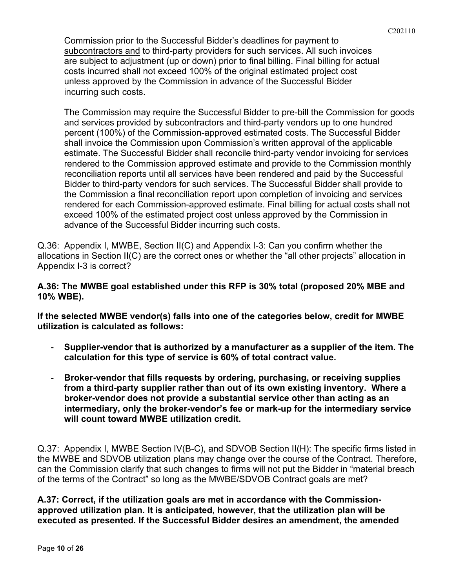Commission prior to the Successful Bidder's deadlines for payment to subcontractors and to third-party providers for such services. All such invoices are subject to adjustment (up or down) prior to final billing. Final billing for actual costs incurred shall not exceed 100% of the original estimated project cost unless approved by the Commission in advance of the Successful Bidder incurring such costs.

The Commission may require the Successful Bidder to pre-bill the Commission for goods and services provided by subcontractors and third-party vendors up to one hundred percent (100%) of the Commission-approved estimated costs. The Successful Bidder shall invoice the Commission upon Commission's written approval of the applicable estimate. The Successful Bidder shall reconcile third-party vendor invoicing for services rendered to the Commission approved estimate and provide to the Commission monthly reconciliation reports until all services have been rendered and paid by the Successful Bidder to third-party vendors for such services. The Successful Bidder shall provide to the Commission a final reconciliation report upon completion of invoicing and services rendered for each Commission-approved estimate. Final billing for actual costs shall not exceed 100% of the estimated project cost unless approved by the Commission in advance of the Successful Bidder incurring such costs.

Q.36: Appendix I, MWBE, Section II(C) and Appendix I-3: Can you confirm whether the allocations in Section II(C) are the correct ones or whether the "all other projects" allocation in Appendix I-3 is correct?

**A.36: The MWBE goal established under this RFP is 30% total (proposed 20% MBE and 10% WBE).** 

**If the selected MWBE vendor(s) falls into one of the categories below, credit for MWBE utilization is calculated as follows:**

- **Supplier-vendor that is authorized by a manufacturer as a supplier of the item. The calculation for this type of service is 60% of total contract value.**
- **Broker-vendor that fills requests by ordering, purchasing, or receiving supplies from a third-party supplier rather than out of its own existing inventory. Where a broker-vendor does not provide a substantial service other than acting as an intermediary, only the broker-vendor's fee or mark-up for the intermediary service will count toward MWBE utilization credit.**

Q.37: Appendix I, MWBE Section IV(B-C), and SDVOB Section II(H): The specific firms listed in the MWBE and SDVOB utilization plans may change over the course of the Contract. Therefore, can the Commission clarify that such changes to firms will not put the Bidder in "material breach of the terms of the Contract" so long as the MWBE/SDVOB Contract goals are met?

**A.37: Correct, if the utilization goals are met in accordance with the Commissionapproved utilization plan. It is anticipated, however, that the utilization plan will be executed as presented. If the Successful Bidder desires an amendment, the amended**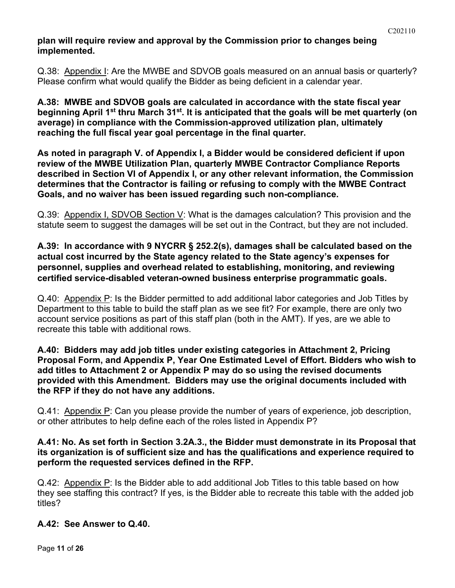## **plan will require review and approval by the Commission prior to changes being implemented.**

Q.38: Appendix I: Are the MWBE and SDVOB goals measured on an annual basis or quarterly? Please confirm what would qualify the Bidder as being deficient in a calendar year.

**A.38: MWBE and SDVOB goals are calculated in accordance with the state fiscal year beginning April 1st thru March 31st. It is anticipated that the goals will be met quarterly (on average) in compliance with the Commission-approved utilization plan, ultimately reaching the full fiscal year goal percentage in the final quarter.** 

**As noted in paragraph V. of Appendix I, a Bidder would be considered deficient if upon review of the MWBE Utilization Plan, quarterly MWBE Contractor Compliance Reports described in Section VI of Appendix I, or any other relevant information, the Commission determines that the Contractor is failing or refusing to comply with the MWBE Contract Goals, and no waiver has been issued regarding such non-compliance.**

Q.39: Appendix I, SDVOB Section V: What is the damages calculation? This provision and the statute seem to suggest the damages will be set out in the Contract, but they are not included.

## **A.39: In accordance with 9 NYCRR § 252.2(s), damages shall be calculated based on the actual cost incurred by the State agency related to the State agency's expenses for personnel, supplies and overhead related to establishing, monitoring, and reviewing certified service-disabled veteran-owned business enterprise programmatic goals.**

Q.40: Appendix P: Is the Bidder permitted to add additional labor categories and Job Titles by Department to this table to build the staff plan as we see fit? For example, there are only two account service positions as part of this staff plan (both in the AMT). If yes, are we able to recreate this table with additional rows.

### **A.40: Bidders may add job titles under existing categories in Attachment 2, Pricing Proposal Form, and Appendix P, Year One Estimated Level of Effort. Bidders who wish to add titles to Attachment 2 or Appendix P may do so using the revised documents provided with this Amendment. Bidders may use the original documents included with the RFP if they do not have any additions.**

Q.41: Appendix P: Can you please provide the number of years of experience, job description, or other attributes to help define each of the roles listed in Appendix P?

## **A.41: No. As set forth in Section 3.2A.3., the Bidder must demonstrate in its Proposal that its organization is of sufficient size and has the qualifications and experience required to perform the requested services defined in the RFP.**

Q.42: Appendix P: Is the Bidder able to add additional Job Titles to this table based on how they see staffing this contract? If yes, is the Bidder able to recreate this table with the added job titles?

# **A.42: See Answer to Q.40.**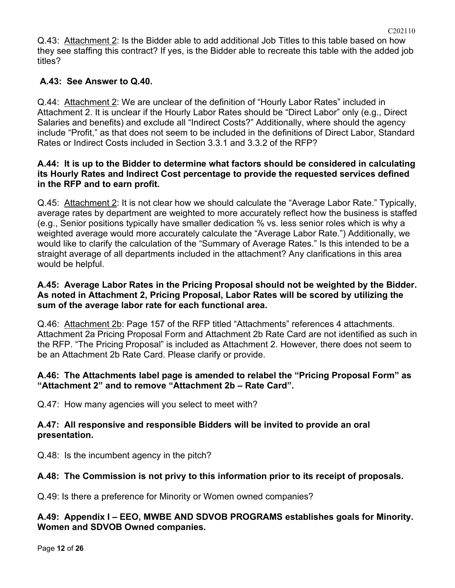Q.43: Attachment 2: Is the Bidder able to add additional Job Titles to this table based on how they see staffing this contract? If yes, is the Bidder able to recreate this table with the added job titles?

# **A.43: See Answer to Q.40.**

Q.44: Attachment 2: We are unclear of the definition of "Hourly Labor Rates" included in Attachment 2. It is unclear if the Hourly Labor Rates should be "Direct Labor" only (e.g., Direct Salaries and benefits) and exclude all "Indirect Costs?" Additionally, where should the agency include "Profit," as that does not seem to be included in the definitions of Direct Labor, Standard Rates or Indirect Costs included in Section 3.3.1 and 3.3.2 of the RFP?

## **A.44: It is up to the Bidder to determine what factors should be considered in calculating its Hourly Rates and Indirect Cost percentage to provide the requested services defined in the RFP and to earn profit.**

Q.45: Attachment 2: It is not clear how we should calculate the "Average Labor Rate." Typically, average rates by department are weighted to more accurately reflect how the business is staffed (e.g., Senior positions typically have smaller dedication % vs. less senior roles which is why a weighted average would more accurately calculate the "Average Labor Rate.") Additionally, we would like to clarify the calculation of the "Summary of Average Rates." Is this intended to be a straight average of all departments included in the attachment? Any clarifications in this area would be helpful.

## **A.45: Average Labor Rates in the Pricing Proposal should not be weighted by the Bidder. As noted in Attachment 2, Pricing Proposal, Labor Rates will be scored by utilizing the sum of the average labor rate for each functional area.**

Q.46: Attachment 2b: Page 157 of the RFP titled "Attachments" references 4 attachments. Attachment 2a Pricing Proposal Form and Attachment 2b Rate Card are not identified as such in the RFP. "The Pricing Proposal" is included as Attachment 2. However, there does not seem to be an Attachment 2b Rate Card. Please clarify or provide.

# **A.46: The Attachments label page is amended to relabel the "Pricing Proposal Form" as "Attachment 2" and to remove "Attachment 2b – Rate Card".**

Q.47: How many agencies will you select to meet with?

## **A.47: All responsive and responsible Bidders will be invited to provide an oral presentation.**

Q.48: Is the incumbent agency in the pitch?

# **A.48: The Commission is not privy to this information prior to its receipt of proposals.**

Q.49: Is there a preference for Minority or Women owned companies?

## **A.49: Appendix I – EEO, MWBE AND SDVOB PROGRAMS establishes goals for Minority. Women and SDVOB Owned companies.**

Page **12** of **26**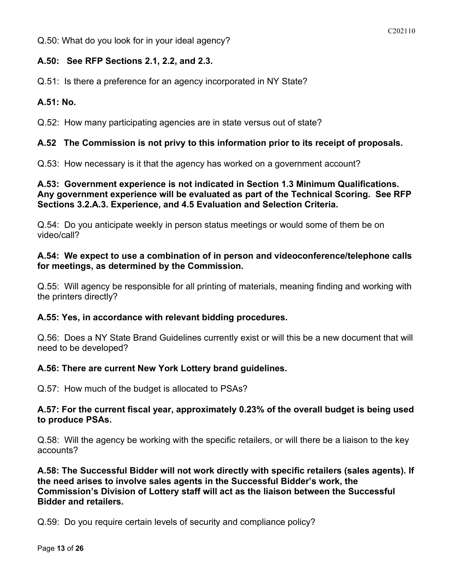Q.50: What do you look for in your ideal agency?

## **A.50: See RFP Sections 2.1, 2.2, and 2.3.**

Q.51: Is there a preference for an agency incorporated in NY State?

## **A.51: No.**

Q.52: How many participating agencies are in state versus out of state?

## **A.52 The Commission is not privy to this information prior to its receipt of proposals.**

Q.53: How necessary is it that the agency has worked on a government account?

### **A.53: Government experience is not indicated in Section 1.3 Minimum Qualifications. Any government experience will be evaluated as part of the Technical Scoring. See RFP Sections 3.2.A.3. Experience, and 4.5 Evaluation and Selection Criteria.**

Q.54: Do you anticipate weekly in person status meetings or would some of them be on video/call?

### **A.54: We expect to use a combination of in person and videoconference/telephone calls for meetings, as determined by the Commission.**

Q.55: Will agency be responsible for all printing of materials, meaning finding and working with the printers directly?

### **A.55: Yes, in accordance with relevant bidding procedures.**

Q.56: Does a NY State Brand Guidelines currently exist or will this be a new document that will need to be developed?

### **A.56: There are current New York Lottery brand guidelines.**

Q.57: How much of the budget is allocated to PSAs?

### **A.57: For the current fiscal year, approximately 0.23% of the overall budget is being used to produce PSAs.**

Q.58: Will the agency be working with the specific retailers, or will there be a liaison to the key accounts?

**A.58: The Successful Bidder will not work directly with specific retailers (sales agents). If the need arises to involve sales agents in the Successful Bidder's work, the Commission's Division of Lottery staff will act as the liaison between the Successful Bidder and retailers.**

Q.59: Do you require certain levels of security and compliance policy?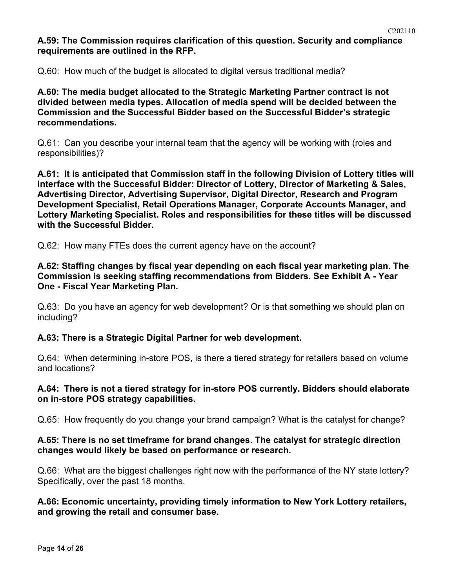### **A.59: The Commission requires clarification of this question. Security and compliance requirements are outlined in the RFP.**

Q.60: How much of the budget is allocated to digital versus traditional media?

**A.60: The media budget allocated to the Strategic Marketing Partner contract is not divided between media types. Allocation of media spend will be decided between the Commission and the Successful Bidder based on the Successful Bidder's strategic recommendations.**

Q.61: Can you describe your internal team that the agency will be working with (roles and responsibilities)?

**A.61: It is anticipated that Commission staff in the following Division of Lottery titles will interface with the Successful Bidder: Director of Lottery, Director of Marketing & Sales, Advertising Director, Advertising Supervisor, Digital Director, Research and Program Development Specialist, Retail Operations Manager, Corporate Accounts Manager, and Lottery Marketing Specialist. Roles and responsibilities for these titles will be discussed with the Successful Bidder.**

Q.62: How many FTEs does the current agency have on the account?

**A.62: Staffing changes by fiscal year depending on each fiscal year marketing plan. The Commission is seeking staffing recommendations from Bidders. See Exhibit A - Year One - Fiscal Year Marketing Plan.** 

Q.63: Do you have an agency for web development? Or is that something we should plan on including?

### **A.63: There is a Strategic Digital Partner for web development.**

Q.64: When determining in-store POS, is there a tiered strategy for retailers based on volume and locations?

#### **A.64: There is not a tiered strategy for in-store POS currently. Bidders should elaborate on in-store POS strategy capabilities.**

Q.65: How frequently do you change your brand campaign? What is the catalyst for change?

#### **A.65: There is no set timeframe for brand changes. The catalyst for strategic direction changes would likely be based on performance or research.**

Q.66: What are the biggest challenges right now with the performance of the NY state lottery? Specifically, over the past 18 months.

### **A.66: Economic uncertainty, providing timely information to New York Lottery retailers, and growing the retail and consumer base.**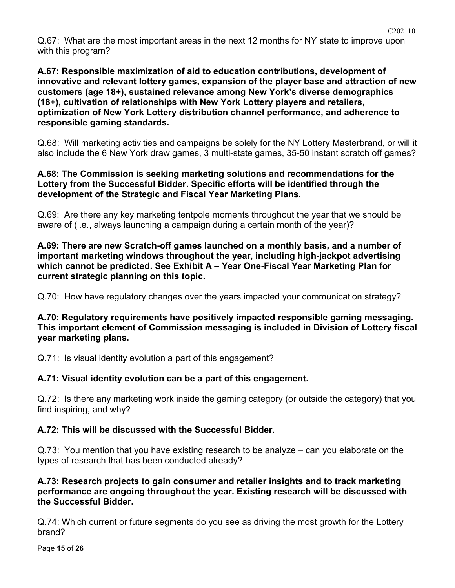Q.67: What are the most important areas in the next 12 months for NY state to improve upon with this program?

**A.67: Responsible maximization of aid to education contributions, development of innovative and relevant lottery games, expansion of the player base and attraction of new customers (age 18+), sustained relevance among New York's diverse demographics (18+), cultivation of relationships with New York Lottery players and retailers, optimization of New York Lottery distribution channel performance, and adherence to responsible gaming standards.**

Q.68: Will marketing activities and campaigns be solely for the NY Lottery Masterbrand, or will it also include the 6 New York draw games, 3 multi-state games, 35-50 instant scratch off games?

## **A.68: The Commission is seeking marketing solutions and recommendations for the Lottery from the Successful Bidder. Specific efforts will be identified through the development of the Strategic and Fiscal Year Marketing Plans.**

Q.69: Are there any key marketing tentpole moments throughout the year that we should be aware of (i.e., always launching a campaign during a certain month of the year)?

**A.69: There are new Scratch-off games launched on a monthly basis, and a number of important marketing windows throughout the year, including high-jackpot advertising which cannot be predicted. See Exhibit A – Year One-Fiscal Year Marketing Plan for current strategic planning on this topic.**

Q.70: How have regulatory changes over the years impacted your communication strategy?

**A.70: Regulatory requirements have positively impacted responsible gaming messaging. This important element of Commission messaging is included in Division of Lottery fiscal year marketing plans.**

Q.71: Is visual identity evolution a part of this engagement?

# **A.71: Visual identity evolution can be a part of this engagement.**

Q.72: Is there any marketing work inside the gaming category (or outside the category) that you find inspiring, and why?

# **A.72: This will be discussed with the Successful Bidder.**

Q.73: You mention that you have existing research to be analyze – can you elaborate on the types of research that has been conducted already?

## **A.73: Research projects to gain consumer and retailer insights and to track marketing performance are ongoing throughout the year. Existing research will be discussed with the Successful Bidder.**

Q.74: Which current or future segments do you see as driving the most growth for the Lottery brand?

Page **15** of **26**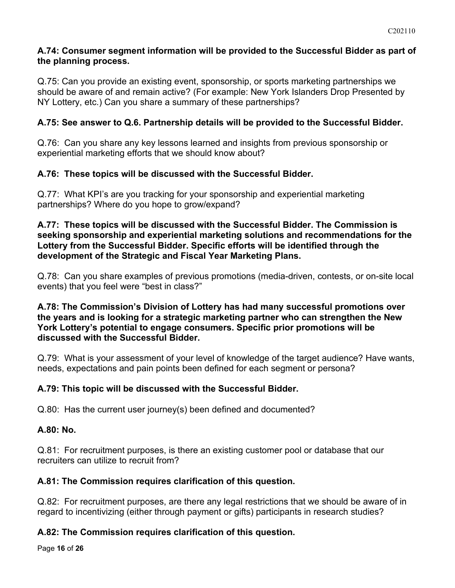## **A.74: Consumer segment information will be provided to the Successful Bidder as part of the planning process.**

Q.75: Can you provide an existing event, sponsorship, or sports marketing partnerships we should be aware of and remain active? (For example: New York Islanders Drop Presented by NY Lottery, etc.) Can you share a summary of these partnerships?

# **A.75: See answer to Q.6. Partnership details will be provided to the Successful Bidder.**

Q.76: Can you share any key lessons learned and insights from previous sponsorship or experiential marketing efforts that we should know about?

# **A.76: These topics will be discussed with the Successful Bidder.**

Q.77: What KPI's are you tracking for your sponsorship and experiential marketing partnerships? Where do you hope to grow/expand?

#### **A.77: These topics will be discussed with the Successful Bidder. The Commission is seeking sponsorship and experiential marketing solutions and recommendations for the Lottery from the Successful Bidder. Specific efforts will be identified through the development of the Strategic and Fiscal Year Marketing Plans.**

Q.78: Can you share examples of previous promotions (media-driven, contests, or on-site local events) that you feel were "best in class?"

### **A.78: The Commission's Division of Lottery has had many successful promotions over the years and is looking for a strategic marketing partner who can strengthen the New York Lottery's potential to engage consumers. Specific prior promotions will be discussed with the Successful Bidder.**

Q.79: What is your assessment of your level of knowledge of the target audience? Have wants, needs, expectations and pain points been defined for each segment or persona?

# **A.79: This topic will be discussed with the Successful Bidder.**

Q.80: Has the current user journey(s) been defined and documented?

# **A.80: No.**

Q.81: For recruitment purposes, is there an existing customer pool or database that our recruiters can utilize to recruit from?

# **A.81: The Commission requires clarification of this question.**

Q.82: For recruitment purposes, are there any legal restrictions that we should be aware of in regard to incentivizing (either through payment or gifts) participants in research studies?

# **A.82: The Commission requires clarification of this question.**

Page **16** of **26**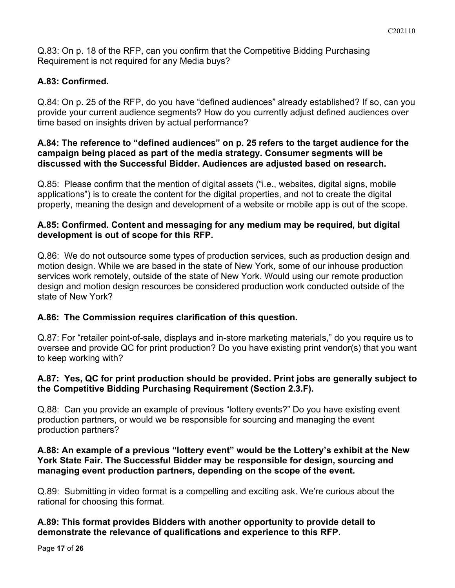Q.83: On p. 18 of the RFP, can you confirm that the Competitive Bidding Purchasing Requirement is not required for any Media buys?

# **A.83: Confirmed.**

Q.84: On p. 25 of the RFP, do you have "defined audiences" already established? If so, can you provide your current audience segments? How do you currently adjust defined audiences over time based on insights driven by actual performance?

### **A.84: The reference to "defined audiences" on p. 25 refers to the target audience for the campaign being placed as part of the media strategy. Consumer segments will be discussed with the Successful Bidder. Audiences are adjusted based on research.**

Q.85: Please confirm that the mention of digital assets ("i.e., websites, digital signs, mobile applications") is to create the content for the digital properties, and not to create the digital property, meaning the design and development of a website or mobile app is out of the scope.

## **A.85: Confirmed. Content and messaging for any medium may be required, but digital development is out of scope for this RFP.**

Q.86: We do not outsource some types of production services, such as production design and motion design. While we are based in the state of New York, some of our inhouse production services work remotely, outside of the state of New York. Would using our remote production design and motion design resources be considered production work conducted outside of the state of New York?

# **A.86: The Commission requires clarification of this question.**

Q.87: For "retailer point-of-sale, displays and in-store marketing materials," do you require us to oversee and provide QC for print production? Do you have existing print vendor(s) that you want to keep working with?

# **A.87: Yes, QC for print production should be provided. Print jobs are generally subject to the Competitive Bidding Purchasing Requirement (Section 2.3.F).**

Q.88: Can you provide an example of previous "lottery events?" Do you have existing event production partners, or would we be responsible for sourcing and managing the event production partners?

## **A.88: An example of a previous "lottery event" would be the Lottery's exhibit at the New York State Fair. The Successful Bidder may be responsible for design, sourcing and managing event production partners, depending on the scope of the event.**

Q.89: Submitting in video format is a compelling and exciting ask. We're curious about the rational for choosing this format.

## **A.89: This format provides Bidders with another opportunity to provide detail to demonstrate the relevance of qualifications and experience to this RFP.**

Page **17** of **26**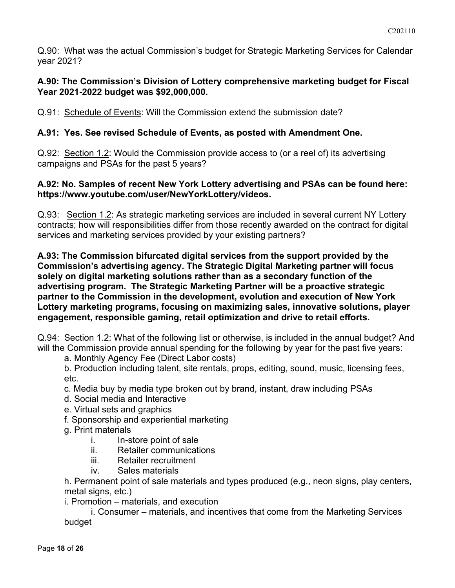Q.90: What was the actual Commission's budget for Strategic Marketing Services for Calendar year 2021?

#### **A.90: The Commission's Division of Lottery comprehensive marketing budget for Fiscal Year 2021-2022 budget was \$92,000,000.**

Q.91: Schedule of Events: Will the Commission extend the submission date?

## **A.91: Yes. See revised Schedule of Events, as posted with Amendment One.**

Q.92: Section 1.2: Would the Commission provide access to (or a reel of) its advertising campaigns and PSAs for the past 5 years?

#### **A.92: No. Samples of recent New York Lottery advertising and PSAs can be found here: https://www.youtube.com/user/NewYorkLottery/videos.**

Q.93: Section 1.2: As strategic marketing services are included in several current NY Lottery contracts; how will responsibilities differ from those recently awarded on the contract for digital services and marketing services provided by your existing partners?

**A.93: The Commission bifurcated digital services from the support provided by the Commission's advertising agency. The Strategic Digital Marketing partner will focus solely on digital marketing solutions rather than as a secondary function of the advertising program. The Strategic Marketing Partner will be a proactive strategic partner to the Commission in the development, evolution and execution of New York Lottery marketing programs, focusing on maximizing sales, innovative solutions, player engagement, responsible gaming, retail optimization and drive to retail efforts.**

Q.94: Section 1.2: What of the following list or otherwise, is included in the annual budget? And will the Commission provide annual spending for the following by year for the past five years:

a. Monthly Agency Fee (Direct Labor costs)

b. Production including talent, site rentals, props, editing, sound, music, licensing fees, etc.

- c. Media buy by media type broken out by brand, instant, draw including PSAs
- d. Social media and Interactive
- e. Virtual sets and graphics
- f. Sponsorship and experiential marketing
- g. Print materials
	- i. In-store point of sale
	- ii. Retailer communications
	- iii. Retailer recruitment
	- iv. Sales materials

h. Permanent point of sale materials and types produced (e.g., neon signs, play centers, metal signs, etc.)

i. Promotion – materials, and execution

i. Consumer – materials, and incentives that come from the Marketing Services budget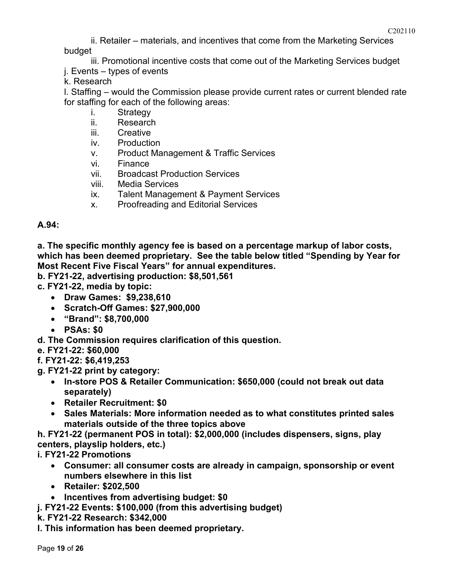ii. Retailer – materials, and incentives that come from the Marketing Services budget

iii. Promotional incentive costs that come out of the Marketing Services budget

j. Events – types of events

k. Research

l. Staffing – would the Commission please provide current rates or current blended rate for staffing for each of the following areas:

- i. Strategy
- ii. Research
- iii. Creative
- iv. Production
- v. Product Management & Traffic Services
- vi. Finance
- vii. Broadcast Production Services
- viii. Media Services
- ix. Talent Management & Payment Services
- x. Proofreading and Editorial Services

#### **A.94:**

**a. The specific monthly agency fee is based on a percentage markup of labor costs, which has been deemed proprietary. See the table below titled "Spending by Year for Most Recent Five Fiscal Years" for annual expenditures.**

- **b. FY21-22, advertising production: \$8,501,561**
- **c. FY21-22, media by topic:**
	- **Draw Games: \$9,238,610**
	- **Scratch-Off Games: \$27,900,000**
	- **"Brand": \$8,700,000**
	- **PSAs: \$0**
- **d. The Commission requires clarification of this question.**
- **e. FY21-22: \$60,000**

**f. FY21-22: \$6,419,253**

- **g. FY21-22 print by category:**
	- **In-store POS & Retailer Communication: \$650,000 (could not break out data separately)**
	- **Retailer Recruitment: \$0**
	- **Sales Materials: More information needed as to what constitutes printed sales materials outside of the three topics above**

**h. FY21-22 (permanent POS in total): \$2,000,000 (includes dispensers, signs, play centers, playslip holders, etc.)**

**i. FY21-22 Promotions**

- **Consumer: all consumer costs are already in campaign, sponsorship or event numbers elsewhere in this list**
- **Retailer: \$202,500**
- **Incentives from advertising budget: \$0**
- **j. FY21-22 Events: \$100,000 (from this advertising budget)**
- **k. FY21-22 Research: \$342,000**
- **l. This information has been deemed proprietary.**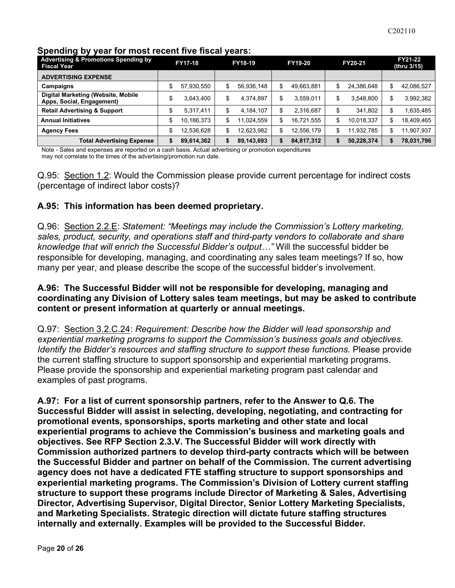| <b>Advertising &amp; Promotions Spending by</b><br>Fiscal Year  | <b>FY17-18</b> |            | FY18-19 |            | FY19-20 |            | FY20-21 |            | FY21-22<br>(thru 3/15) |            |
|-----------------------------------------------------------------|----------------|------------|---------|------------|---------|------------|---------|------------|------------------------|------------|
| <b>ADVERTISING EXPENSE</b>                                      |                |            |         |            |         |            |         |            |                        |            |
| Campaigns                                                       |                | 57,930,550 | S       | 56,936,148 | S       | 49,663,881 | \$      | 24,386,648 | S                      | 42,086,527 |
| Digital Marketing (Website, Mobile<br>Apps, Social, Engagement) | æ              | 3.643.400  | \$      | 4.374.897  | \$      | 3.559.011  | \$      | 3.548.800  | \$                     | 3.992.382  |
| <b>Retail Advertising &amp; Support</b>                         |                | 5,317,411  | \$      | 4,184,107  | \$      | 2,316,687  | \$      | 341.802    |                        | 1,635,485  |
| <b>Annual Initiatives</b>                                       | \$             | 10,186,373 | \$      | 11,024,559 | \$      | 16,721,555 | \$      | 10,018,337 | \$                     | 18,409,465 |
| <b>Agency Fees</b>                                              | \$             | 12.536.628 | \$      | 12.623.982 | \$      | 12.556.179 | \$      | 11.932.785 | \$                     | 11.907.937 |
| <b>Total Advertising Expense</b>                                |                | 89,614,362 |         | 89,143,693 | S       | 84,817,312 | \$      | 50,228,374 |                        | 78,031,796 |

## **Spending by year for most recent five fiscal years:**

Note - Sales and expenses are reported on a cash basis. Actual advertising or promotion expenditures may not correlate to the times of the advertising/promotion run date.

Q.95: Section 1.2: Would the Commission please provide current percentage for indirect costs (percentage of indirect labor costs)?

## **A.95: This information has been deemed proprietary.**

Q.96: Section 2.2.E: *Statement: "Meetings may include the Commission's Lottery marketing, sales, product, security, and operations staff and third-party vendors to collaborate and share knowledge that will enrich the Successful Bidder's output…"* Will the successful bidder be responsible for developing, managing, and coordinating any sales team meetings? If so, how many per year, and please describe the scope of the successful bidder's involvement.

### **A.96: The Successful Bidder will not be responsible for developing, managing and coordinating any Division of Lottery sales team meetings, but may be asked to contribute content or present information at quarterly or annual meetings.**

Q.97: Section 3.2.C.24: *Requirement: Describe how the Bidder will lead sponsorship and experiential marketing programs to support the Commission's business goals and objectives. Identify the Bidder's resources and staffing structure to support these functions.* Please provide the current staffing structure to support sponsorship and experiential marketing programs. Please provide the sponsorship and experiential marketing program past calendar and examples of past programs.

**A.97: For a list of current sponsorship partners, refer to the Answer to Q.6. The Successful Bidder will assist in selecting, developing, negotiating, and contracting for promotional events, sponsorships, sports marketing and other state and local experiential programs to achieve the Commission's business and marketing goals and objectives. See RFP Section 2.3.V. The Successful Bidder will work directly with Commission authorized partners to develop third-party contracts which will be between the Successful Bidder and partner on behalf of the Commission. The current advertising agency does not have a dedicated FTE staffing structure to support sponsorships and experiential marketing programs. The Commission's Division of Lottery current staffing structure to support these programs include Director of Marketing & Sales, Advertising Director, Advertising Supervisor, Digital Director, Senior Lottery Marketing Specialists, and Marketing Specialists. Strategic direction will dictate future staffing structures internally and externally. Examples will be provided to the Successful Bidder.**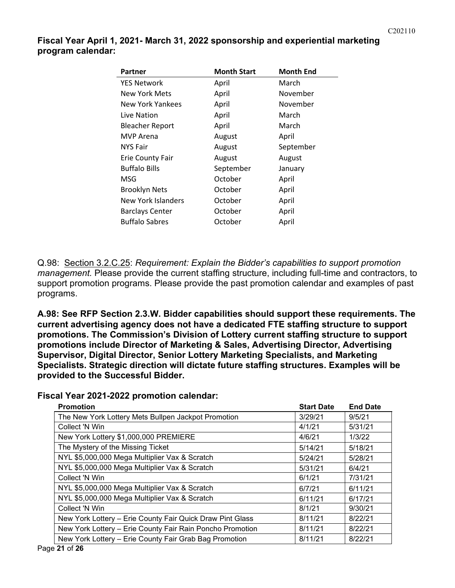**Fiscal Year April 1, 2021- March 31, 2022 sponsorship and experiential marketing program calendar:**

| <b>Partner</b>          | <b>Month Start</b> | <b>Month End</b> |
|-------------------------|--------------------|------------------|
| <b>YES Network</b>      | April              | March            |
| New York Mets           | April              | November         |
| New York Yankees        | April              | November         |
| Live Nation             | April              | March            |
| <b>Bleacher Report</b>  | April              | March            |
| MVP Arena               | August             | April            |
| <b>NYS Fair</b>         | August             | September        |
| <b>Erie County Fair</b> | August             | August           |
| <b>Buffalo Bills</b>    | September          | January          |
| MSG                     | October            | April            |
| <b>Brooklyn Nets</b>    | October            | April            |
| New York Islanders      | October            | April            |
| <b>Barclays Center</b>  | October            | April            |
| <b>Buffalo Sabres</b>   | October            | April            |

Q.98: Section 3.2.C.25: *Requirement: Explain the Bidder's capabilities to support promotion management.* Please provide the current staffing structure, including full-time and contractors, to support promotion programs. Please provide the past promotion calendar and examples of past programs.

**A.98: See RFP Section 2.3.W. Bidder capabilities should support these requirements. The current advertising agency does not have a dedicated FTE staffing structure to support promotions. The Commission's Division of Lottery current staffing structure to support promotions include Director of Marketing & Sales, Advertising Director, Advertising Supervisor, Digital Director, Senior Lottery Marketing Specialists, and Marketing Specialists. Strategic direction will dictate future staffing structures. Examples will be provided to the Successful Bidder.**

**Fiscal Year 2021-2022 promotion calendar:**

| <b>Promotion</b>                                          | <b>Start Date</b> | <b>End Date</b> |
|-----------------------------------------------------------|-------------------|-----------------|
| The New York Lottery Mets Bullpen Jackpot Promotion       | 3/29/21           | 9/5/21          |
| Collect 'N Win                                            | 4/1/21            | 5/31/21         |
| New York Lottery \$1,000,000 PREMIERE                     | 4/6/21            | 1/3/22          |
| The Mystery of the Missing Ticket                         | 5/14/21           | 5/18/21         |
| NYL \$5,000,000 Mega Multiplier Vax & Scratch             | 5/24/21           | 5/28/21         |
| NYL \$5,000,000 Mega Multiplier Vax & Scratch             | 5/31/21           | 6/4/21          |
| Collect 'N Win                                            | 6/1/21            | 7/31/21         |
| NYL \$5,000,000 Mega Multiplier Vax & Scratch             | 6/7/21            | 6/11/21         |
| NYL \$5,000,000 Mega Multiplier Vax & Scratch             | 6/11/21           | 6/17/21         |
| Collect 'N Win                                            | 8/1/21            | 9/30/21         |
| New York Lottery - Erie County Fair Quick Draw Pint Glass | 8/11/21           | 8/22/21         |
| New York Lottery - Erie County Fair Rain Poncho Promotion | 8/11/21           | 8/22/21         |
| New York Lottery - Erie County Fair Grab Bag Promotion    | 8/11/21           | 8/22/21         |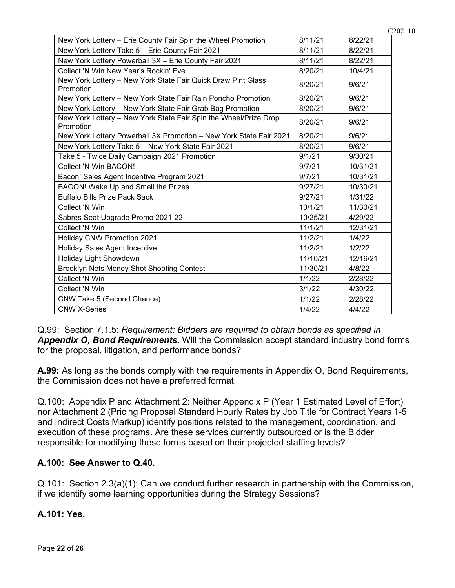| New York Lottery - Erie County Fair Spin the Wheel Promotion                  | 8/11/21  | 8/22/21  |
|-------------------------------------------------------------------------------|----------|----------|
| New York Lottery Take 5 - Erie County Fair 2021                               | 8/11/21  | 8/22/21  |
| New York Lottery Powerball 3X - Erie County Fair 2021                         | 8/11/21  | 8/22/21  |
| Collect 'N Win New Year's Rockin' Eve                                         | 8/20/21  | 10/4/21  |
| New York Lottery - New York State Fair Quick Draw Pint Glass<br>Promotion     | 8/20/21  | 9/6/21   |
| New York Lottery - New York State Fair Rain Poncho Promotion                  | 8/20/21  | 9/6/21   |
| New York Lottery - New York State Fair Grab Bag Promotion                     | 8/20/21  | 9/6/21   |
| New York Lottery - New York State Fair Spin the Wheel/Prize Drop<br>Promotion | 8/20/21  | 9/6/21   |
| New York Lottery Powerball 3X Promotion - New York State Fair 2021            | 8/20/21  | 9/6/21   |
| New York Lottery Take 5 - New York State Fair 2021                            | 8/20/21  | 9/6/21   |
| Take 5 - Twice Daily Campaign 2021 Promotion                                  | 9/1/21   | 9/30/21  |
| Collect 'N Win BACON!                                                         | 9/7/21   | 10/31/21 |
| Bacon! Sales Agent Incentive Program 2021                                     | 9/7/21   | 10/31/21 |
| BACON! Wake Up and Smell the Prizes                                           | 9/27/21  | 10/30/21 |
| <b>Buffalo Bills Prize Pack Sack</b>                                          | 9/27/21  | 1/31/22  |
| Collect 'N Win                                                                | 10/1/21  | 11/30/21 |
| Sabres Seat Upgrade Promo 2021-22                                             | 10/25/21 | 4/29/22  |
| Collect 'N Win                                                                | 11/1/21  | 12/31/21 |
| <b>Holiday CNW Promotion 2021</b>                                             | 11/2/21  | 1/4/22   |
| <b>Holiday Sales Agent Incentive</b>                                          | 11/2/21  | 1/2/22   |
| Holiday Light Showdown                                                        | 11/10/21 | 12/16/21 |
| Brooklyn Nets Money Shot Shooting Contest                                     | 11/30/21 | 4/8/22   |
| Collect 'N Win                                                                | 1/1/22   | 2/28/22  |
| Collect 'N Win                                                                | 3/1/22   | 4/30/22  |
| CNW Take 5 (Second Chance)                                                    | 1/1/22   | 2/28/22  |
| <b>CNW X-Series</b>                                                           | 1/4/22   | 4/4/22   |

Q.99: Section 7.1.5: *Requirement: Bidders are required to obtain bonds as specified in Appendix O, Bond Requirements.* Will the Commission accept standard industry bond forms for the proposal, litigation, and performance bonds?

**A.99:** As long as the bonds comply with the requirements in Appendix O, Bond Requirements, the Commission does not have a preferred format.

Q.100: Appendix P and Attachment 2: Neither Appendix P (Year 1 Estimated Level of Effort) nor Attachment 2 (Pricing Proposal Standard Hourly Rates by Job Title for Contract Years 1-5 and Indirect Costs Markup) identify positions related to the management, coordination, and execution of these programs. Are these services currently outsourced or is the Bidder responsible for modifying these forms based on their projected staffing levels?

# **A.100: See Answer to Q.40.**

Q.101: Section 2.3(a)(1): Can we conduct further research in partnership with the Commission, if we identify some learning opportunities during the Strategy Sessions?

# **A.101: Yes.**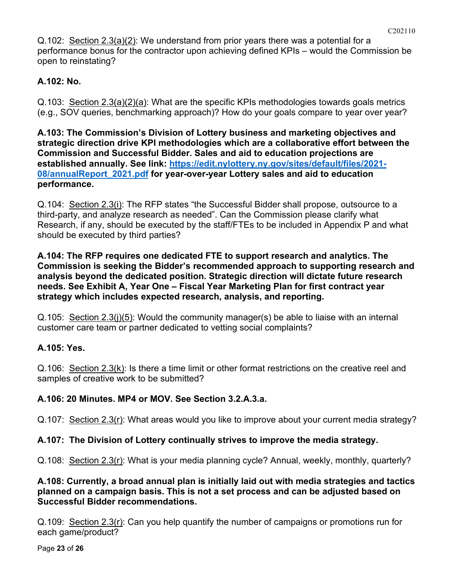Q.102: Section 2.3(a)(2): We understand from prior years there was a potential for a performance bonus for the contractor upon achieving defined KPIs – would the Commission be open to reinstating?

# **A.102: No.**

Q.103: Section 2.3(a)(2)(a): What are the specific KPIs methodologies towards goals metrics (e.g., SOV queries, benchmarking approach)? How do your goals compare to year over year?

**A.103: The Commission's Division of Lottery business and marketing objectives and strategic direction drive KPI methodologies which are a collaborative effort between the Commission and Successful Bidder. Sales and aid to education projections are established annually. See link: [https://edit.nylottery.ny.gov/sites/default/files/2021-](https://edit.nylottery.ny.gov/sites/default/files/2021-08/annualReport_2021.pdf) [08/annualReport\\_2021.pdf](https://edit.nylottery.ny.gov/sites/default/files/2021-08/annualReport_2021.pdf) for year-over-year Lottery sales and aid to education performance.**

Q.104: Section 2.3(i): The RFP states "the Successful Bidder shall propose, outsource to a third-party, and analyze research as needed". Can the Commission please clarify what Research, if any, should be executed by the staff/FTEs to be included in Appendix P and what should be executed by third parties?

**A.104: The RFP requires one dedicated FTE to support research and analytics. The Commission is seeking the Bidder's recommended approach to supporting research and analysis beyond the dedicated position. Strategic direction will dictate future research needs. See Exhibit A, Year One – Fiscal Year Marketing Plan for first contract year strategy which includes expected research, analysis, and reporting.**

Q.105: Section 2.3(j)(5): Would the community manager(s) be able to liaise with an internal customer care team or partner dedicated to vetting social complaints?

# **A.105: Yes.**

Q.106: Section 2.3(k): Is there a time limit or other format restrictions on the creative reel and samples of creative work to be submitted?

# **A.106: 20 Minutes. MP4 or MOV. See Section 3.2.A.3.a.**

Q.107: Section 2.3(r): What areas would you like to improve about your current media strategy?

# **A.107: The Division of Lottery continually strives to improve the media strategy.**

Q.108: Section 2.3(r): What is your media planning cycle? Annual, weekly, monthly, quarterly?

## **A.108: Currently, a broad annual plan is initially laid out with media strategies and tactics planned on a campaign basis. This is not a set process and can be adjusted based on Successful Bidder recommendations.**

Q.109: Section 2.3(r): Can you help quantify the number of campaigns or promotions run for each game/product?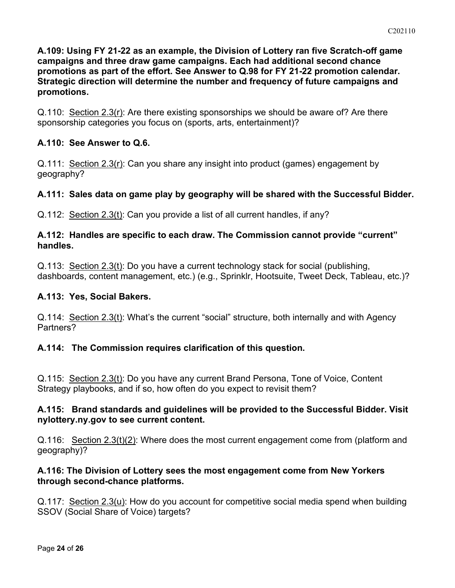**A.109: Using FY 21-22 as an example, the Division of Lottery ran five Scratch-off game campaigns and three draw game campaigns. Each had additional second chance promotions as part of the effort. See Answer to Q.98 for FY 21-22 promotion calendar. Strategic direction will determine the number and frequency of future campaigns and promotions.**

Q.110: Section 2.3(r): Are there existing sponsorships we should be aware of? Are there sponsorship categories you focus on (sports, arts, entertainment)?

## **A.110: See Answer to Q.6.**

Q.111: Section 2.3(r): Can you share any insight into product (games) engagement by geography?

## **A.111: Sales data on game play by geography will be shared with the Successful Bidder.**

Q.112: Section 2.3(t): Can you provide a list of all current handles, if any?

#### **A.112: Handles are specific to each draw. The Commission cannot provide "current" handles.**

Q.113: Section 2.3(t): Do you have a current technology stack for social (publishing, dashboards, content management, etc.) (e.g., Sprinklr, Hootsuite, Tweet Deck, Tableau, etc.)?

### **A.113: Yes, Social Bakers.**

Q.114: Section 2.3(t): What's the current "social" structure, both internally and with Agency Partners?

### **A.114: The Commission requires clarification of this question.**

Q.115: Section 2.3(t): Do you have any current Brand Persona, Tone of Voice, Content Strategy playbooks, and if so, how often do you expect to revisit them?

### **A.115: Brand standards and guidelines will be provided to the Successful Bidder. Visit nylottery.ny.gov to see current content.**

Q.116: Section 2.3(t)(2): Where does the most current engagement come from (platform and geography)?

### **A.116: The Division of Lottery sees the most engagement come from New Yorkers through second-chance platforms.**

Q.117: Section 2.3(u): How do you account for competitive social media spend when building SSOV (Social Share of Voice) targets?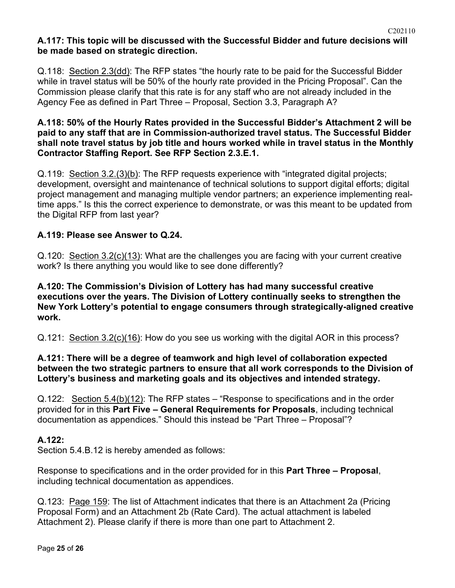## **A.117: This topic will be discussed with the Successful Bidder and future decisions will be made based on strategic direction.**

Q.118: Section 2.3(dd): The RFP states "the hourly rate to be paid for the Successful Bidder while in travel status will be 50% of the hourly rate provided in the Pricing Proposal". Can the Commission please clarify that this rate is for any staff who are not already included in the Agency Fee as defined in Part Three – Proposal, Section 3.3, Paragraph A?

#### **A.118: 50% of the Hourly Rates provided in the Successful Bidder's Attachment 2 will be paid to any staff that are in Commission-authorized travel status. The Successful Bidder shall note travel status by job title and hours worked while in travel status in the Monthly Contractor Staffing Report. See RFP Section 2.3.E.1.**

Q.119: Section 3.2.(3)(b): The RFP requests experience with "integrated digital projects; development, oversight and maintenance of technical solutions to support digital efforts; digital project management and managing multiple vendor partners; an experience implementing realtime apps." Is this the correct experience to demonstrate, or was this meant to be updated from the Digital RFP from last year?

# **A.119: Please see Answer to Q.24.**

Q.120: Section 3.2(c)(13): What are the challenges you are facing with your current creative work? Is there anything you would like to see done differently?

### **A.120: The Commission's Division of Lottery has had many successful creative executions over the years. The Division of Lottery continually seeks to strengthen the New York Lottery's potential to engage consumers through strategically-aligned creative work.**

Q.121: Section 3.2(c)(16): How do you see us working with the digital AOR in this process?

### **A.121: There will be a degree of teamwork and high level of collaboration expected between the two strategic partners to ensure that all work corresponds to the Division of Lottery's business and marketing goals and its objectives and intended strategy.**

Q.122: Section 5.4(b)(12): The RFP states – "Response to specifications and in the order provided for in this **Part Five – General Requirements for Proposals**, including technical documentation as appendices." Should this instead be "Part Three – Proposal"?

# **A.122:**

Section 5.4.B.12 is hereby amended as follows:

Response to specifications and in the order provided for in this **Part Three – Proposal**, including technical documentation as appendices.

Q.123: Page 159: The list of Attachment indicates that there is an Attachment 2a (Pricing Proposal Form) and an Attachment 2b (Rate Card). The actual attachment is labeled Attachment 2). Please clarify if there is more than one part to Attachment 2.

C202110